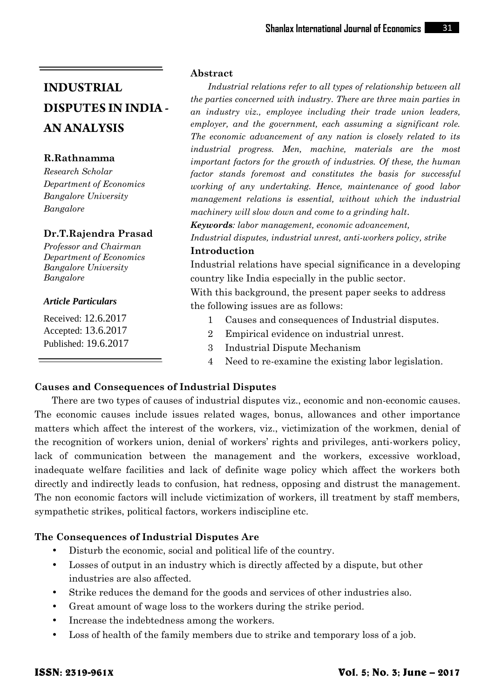# **INDUSTRIAL DISPUTES IN INDIA - AN ANALYSIS**

## **R.Rathnamma**

*Research Scholar Department of Economics Bangalore University Bangalore*

#### **Dr.T.Rajendra Prasad**

*Professor and Chairman Department of Economics Bangalore University Bangalore*

#### *Article Particulars*

Received: 12.6.2017 Accepted: 13.6.2017 Published: 19.6.2017

#### **Abstract**

*Industrial relations refer to all types of relationship between all the parties concerned with industry. There are three main parties in an industry viz., employee including their trade union leaders, employer, and the government, each assuming a significant role. The economic advancement of any nation is closely related to its industrial progress. Men, machine, materials are the most important factors for the growth of industries. Of these, the human factor stands foremost and constitutes the basis for successful working of any undertaking. Hence, maintenance of good labor management relations is essential, without which the industrial machinery will slow down and come to a grinding halt*.

*Keywords: labor management, economic advancement,*

*Industrial disputes, industrial unrest, anti-workers policy, strike* **Introduction**

Industrial relations have special significance in a developing country like India especially in the public sector.

With this background, the present paper seeks to address the following issues are as follows:

- 1 Causes and consequences of Industrial disputes.
- 2 Empirical evidence on industrial unrest.
- 3 Industrial Dispute Mechanism
- 4 Need to re-examine the existing labor legislation.

## **Causes and Consequences of Industrial Disputes**

There are two types of causes of industrial disputes viz., economic and non-economic causes. The economic causes include issues related wages, bonus, allowances and other importance matters which affect the interest of the workers, viz., victimization of the workmen, denial of the recognition of workers union, denial of workers' rights and privileges, anti-workers policy, lack of communication between the management and the workers, excessive workload, inadequate welfare facilities and lack of definite wage policy which affect the workers both directly and indirectly leads to confusion, hat redness, opposing and distrust the management. The non economic factors will include victimization of workers, ill treatment by staff members, sympathetic strikes, political factors, workers indiscipline etc.

## **The Consequences of Industrial Disputes Are**

- Disturb the economic, social and political life of the country.
- Losses of output in an industry which is directly affected by a dispute, but other industries are also affected.
- Strike reduces the demand for the goods and services of other industries also.
- Great amount of wage loss to the workers during the strike period.
- Increase the indebtedness among the workers.
- Loss of health of the family members due to strike and temporary loss of a job.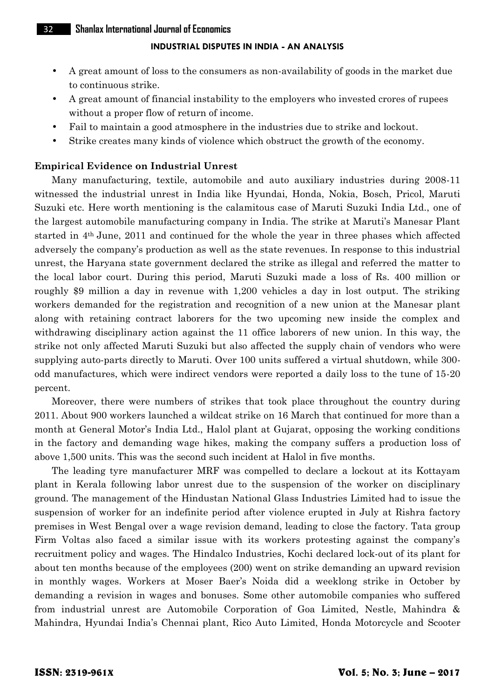## 32 **Shanlax International Journal of Economics**

## **INDUSTRIAL DISPUTES IN INDIA - AN ANALYSIS**

- A great amount of loss to the consumers as non-availability of goods in the market due to continuous strike.
- A great amount of financial instability to the employers who invested crores of rupees without a proper flow of return of income.
- Fail to maintain a good atmosphere in the industries due to strike and lockout.
- Strike creates many kinds of violence which obstruct the growth of the economy.

# **Empirical Evidence on Industrial Unrest**

Many manufacturing, textile, automobile and auto auxiliary industries during 2008-11 witnessed the industrial unrest in India like Hyundai, Honda, Nokia, Bosch, Pricol, Maruti Suzuki etc. Here worth mentioning is the calamitous case of Maruti Suzuki India Ltd., one of the largest automobile manufacturing company in India. The strike at Maruti's Manesar Plant started in 4th June, 2011 and continued for the whole the year in three phases which affected adversely the company's production as well as the state revenues. In response to this industrial unrest, the Haryana state government declared the strike as illegal and referred the matter to the local labor court. During this period, Maruti Suzuki made a loss of Rs. 400 million or roughly \$9 million a day in revenue with 1,200 vehicles a day in lost output. The striking workers demanded for the registration and recognition of a new union at the Manesar plant along with retaining contract laborers for the two upcoming new inside the complex and withdrawing disciplinary action against the 11 office laborers of new union. In this way, the strike not only affected Maruti Suzuki but also affected the supply chain of vendors who were supplying auto-parts directly to Maruti. Over 100 units suffered a virtual shutdown, while 300 odd manufactures, which were indirect vendors were reported a daily loss to the tune of 15-20 percent.

Moreover, there were numbers of strikes that took place throughout the country during 2011. About 900 workers launched a wildcat strike on 16 March that continued for more than a month at General Motor's India Ltd., Halol plant at Gujarat, opposing the working conditions in the factory and demanding wage hikes, making the company suffers a production loss of above 1,500 units. This was the second such incident at Halol in five months.

The leading tyre manufacturer MRF was compelled to declare a lockout at its Kottayam plant in Kerala following labor unrest due to the suspension of the worker on disciplinary ground. The management of the Hindustan National Glass Industries Limited had to issue the suspension of worker for an indefinite period after violence erupted in July at Rishra factory premises in West Bengal over a wage revision demand, leading to close the factory. Tata group Firm Voltas also faced a similar issue with its workers protesting against the company's recruitment policy and wages. The Hindalco Industries, Kochi declared lock-out of its plant for about ten months because of the employees (200) went on strike demanding an upward revision in monthly wages. Workers at Moser Baer's Noida did a weeklong strike in October by demanding a revision in wages and bonuses. Some other automobile companies who suffered from industrial unrest are Automobile Corporation of Goa Limited, Nestle, Mahindra & Mahindra, Hyundai India's Chennai plant, Rico Auto Limited, Honda Motorcycle and Scooter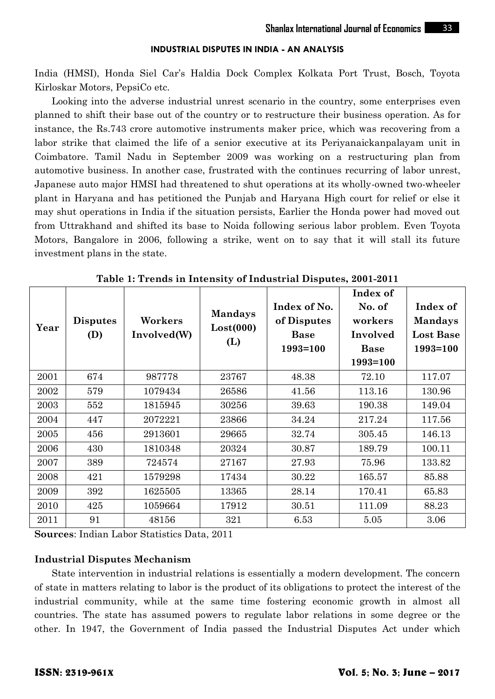#### **INDUSTRIAL DISPUTES IN INDIA - AN ANALYSIS**

India (HMSI), Honda Siel Car's Haldia Dock Complex Kolkata Port Trust, Bosch, Toyota Kirloskar Motors, PepsiCo etc.

Looking into the adverse industrial unrest scenario in the country, some enterprises even planned to shift their base out of the country or to restructure their business operation. As for instance, the Rs.743 crore automotive instruments maker price, which was recovering from a labor strike that claimed the life of a senior executive at its Periyanaickanpalayam unit in Coimbatore. Tamil Nadu in September 2009 was working on a restructuring plan from automotive business. In another case, frustrated with the continues recurring of labor unrest, Japanese auto major HMSI had threatened to shut operations at its wholly-owned two-wheeler plant in Haryana and has petitioned the Punjab and Haryana High court for relief or else it may shut operations in India if the situation persists, Earlier the Honda power had moved out from Uttrakhand and shifted its base to Noida following serious labor problem. Even Toyota Motors, Bangalore in 2006, following a strike, went on to say that it will stall its future investment plans in the state.

| Year | <b>Disputes</b><br>(D) | Workers<br>Involved(W) | <b>Mandays</b><br>$\text{Lost}(000)$<br>(L) | Index of No.<br>of Disputes<br><b>Base</b><br>1993=100 | Index of<br>No. of<br>workers<br>Involved<br><b>Base</b><br>1993=100 | Index of<br><b>Mandays</b><br><b>Lost Base</b><br>1993=100 |
|------|------------------------|------------------------|---------------------------------------------|--------------------------------------------------------|----------------------------------------------------------------------|------------------------------------------------------------|
| 2001 | 674                    | 987778                 | 23767                                       | 48.38                                                  | 72.10                                                                | 117.07                                                     |
| 2002 | 579                    | 1079434                | 26586                                       | 41.56                                                  | 113.16                                                               | 130.96                                                     |
| 2003 | 552                    | 1815945                | 30256                                       | 39.63                                                  | 190.38                                                               | 149.04                                                     |
| 2004 | 447                    | 2072221                | 23866                                       | 34.24                                                  | 217.24                                                               | 117.56                                                     |
| 2005 | 456                    | 2913601                | 29665                                       | 32.74                                                  | 305.45                                                               | 146.13                                                     |
| 2006 | 430                    | 1810348                | 20324                                       | 30.87                                                  | 189.79                                                               | 100.11                                                     |
| 2007 | 389                    | 724574                 | 27167                                       | 27.93                                                  | 75.96                                                                | 133.82                                                     |
| 2008 | 421                    | 1579298                | 17434                                       | 30.22                                                  | 165.57                                                               | 85.88                                                      |
| 2009 | 392                    | 1625505                | 13365                                       | 28.14                                                  | 170.41                                                               | 65.83                                                      |
| 2010 | 425                    | 1059664                | 17912                                       | 30.51                                                  | 111.09                                                               | 88.23                                                      |
| 2011 | 91                     | 48156                  | 321                                         | 6.53                                                   | 5.05                                                                 | 3.06                                                       |

**Table 1: Trends in Intensity of Industrial Disputes, 2001-2011**

**Sources**: Indian Labor Statistics Data, 2011

#### **Industrial Disputes Mechanism**

State intervention in industrial relations is essentially a modern development. The concern of state in matters relating to labor is the product of its obligations to protect the interest of the industrial community, while at the same time fostering economic growth in almost all countries. The state has assumed powers to regulate labor relations in some degree or the other. In 1947, the Government of India passed the Industrial Disputes Act under which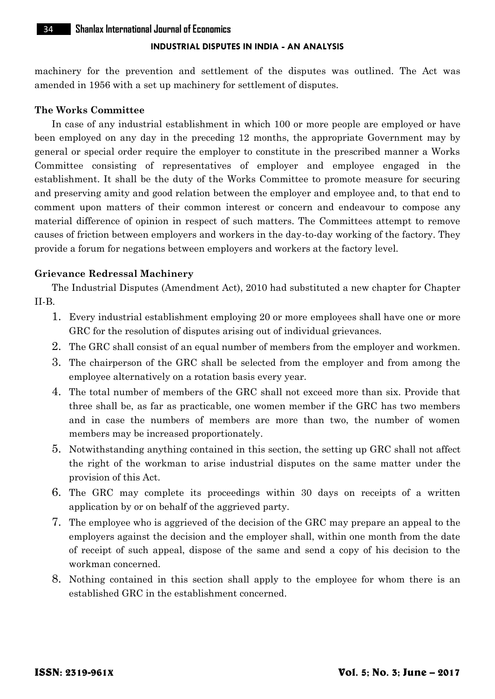#### 34 **Shanlax International Journal of Economics**

# **INDUSTRIAL DISPUTES IN INDIA - AN ANALYSIS**

machinery for the prevention and settlement of the disputes was outlined. The Act was amended in 1956 with a set up machinery for settlement of disputes.

#### **The Works Committee**

In case of any industrial establishment in which 100 or more people are employed or have been employed on any day in the preceding 12 months, the appropriate Government may by general or special order require the employer to constitute in the prescribed manner a Works Committee consisting of representatives of employer and employee engaged in the establishment. It shall be the duty of the Works Committee to promote measure for securing and preserving amity and good relation between the employer and employee and, to that end to comment upon matters of their common interest or concern and endeavour to compose any material difference of opinion in respect of such matters. The Committees attempt to remove causes of friction between employers and workers in the day-to-day working of the factory. They provide a forum for negations between employers and workers at the factory level.

## **Grievance Redressal Machinery**

The Industrial Disputes (Amendment Act), 2010 had substituted a new chapter for Chapter II-B.

- 1. Every industrial establishment employing 20 or more employees shall have one or more GRC for the resolution of disputes arising out of individual grievances.
- 2. The GRC shall consist of an equal number of members from the employer and workmen.
- 3. The chairperson of the GRC shall be selected from the employer and from among the employee alternatively on a rotation basis every year.
- 4. The total number of members of the GRC shall not exceed more than six. Provide that three shall be, as far as practicable, one women member if the GRC has two members and in case the numbers of members are more than two, the number of women members may be increased proportionately.
- 5. Notwithstanding anything contained in this section, the setting up GRC shall not affect the right of the workman to arise industrial disputes on the same matter under the provision of this Act.
- 6. The GRC may complete its proceedings within 30 days on receipts of a written application by or on behalf of the aggrieved party.
- 7. The employee who is aggrieved of the decision of the GRC may prepare an appeal to the employers against the decision and the employer shall, within one month from the date of receipt of such appeal, dispose of the same and send a copy of his decision to the workman concerned.
- 8. Nothing contained in this section shall apply to the employee for whom there is an established GRC in the establishment concerned.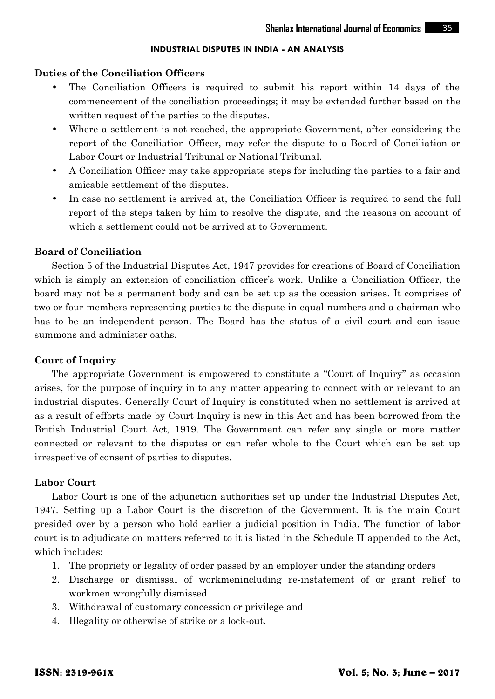## **INDUSTRIAL DISPUTES IN INDIA - AN ANALYSIS**

## **Duties of the Conciliation Officers**

- The Conciliation Officers is required to submit his report within 14 days of the commencement of the conciliation proceedings; it may be extended further based on the written request of the parties to the disputes.
- Where a settlement is not reached, the appropriate Government, after considering the report of the Conciliation Officer, may refer the dispute to a Board of Conciliation or Labor Court or Industrial Tribunal or National Tribunal.
- A Conciliation Officer may take appropriate steps for including the parties to a fair and amicable settlement of the disputes.
- In case no settlement is arrived at, the Conciliation Officer is required to send the full report of the steps taken by him to resolve the dispute, and the reasons on account of which a settlement could not be arrived at to Government.

## **Board of Conciliation**

Section 5 of the Industrial Disputes Act, 1947 provides for creations of Board of Conciliation which is simply an extension of conciliation officer's work. Unlike a Conciliation Officer, the board may not be a permanent body and can be set up as the occasion arises. It comprises of two or four members representing parties to the dispute in equal numbers and a chairman who has to be an independent person. The Board has the status of a civil court and can issue summons and administer oaths.

#### **Court of Inquiry**

The appropriate Government is empowered to constitute a "Court of Inquiry" as occasion arises, for the purpose of inquiry in to any matter appearing to connect with or relevant to an industrial disputes. Generally Court of Inquiry is constituted when no settlement is arrived at as a result of efforts made by Court Inquiry is new in this Act and has been borrowed from the British Industrial Court Act, 1919. The Government can refer any single or more matter connected or relevant to the disputes or can refer whole to the Court which can be set up irrespective of consent of parties to disputes.

## **Labor Court**

Labor Court is one of the adjunction authorities set up under the Industrial Disputes Act, 1947. Setting up a Labor Court is the discretion of the Government. It is the main Court presided over by a person who hold earlier a judicial position in India. The function of labor court is to adjudicate on matters referred to it is listed in the Schedule II appended to the Act, which includes:

- 1. The propriety or legality of order passed by an employer under the standing orders
- 2. Discharge or dismissal of workmenincluding re-instatement of or grant relief to workmen wrongfully dismissed
- 3. Withdrawal of customary concession or privilege and
- 4. Illegality or otherwise of strike or a lock-out.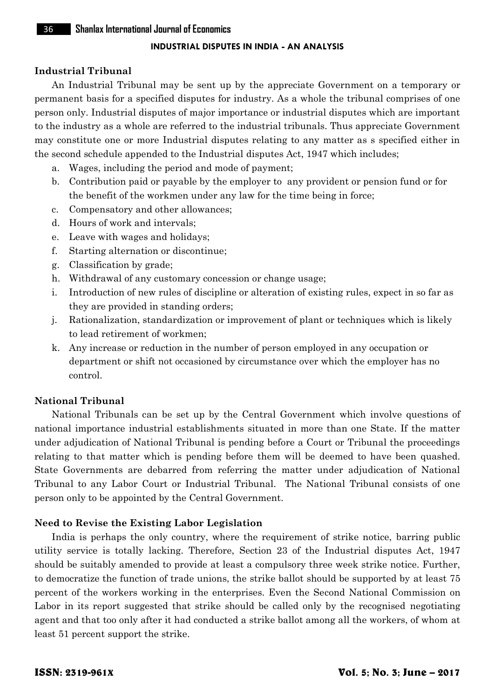#### **Industrial Tribunal**

An Industrial Tribunal may be sent up by the appreciate Government on a temporary or permanent basis for a specified disputes for industry. As a whole the tribunal comprises of one person only. Industrial disputes of major importance or industrial disputes which are important to the industry as a whole are referred to the industrial tribunals. Thus appreciate Government may constitute one or more Industrial disputes relating to any matter as s specified either in the second schedule appended to the Industrial disputes Act, 1947 which includes;

- a. Wages, including the period and mode of payment;
- b. Contribution paid or payable by the employer to any provident or pension fund or for the benefit of the workmen under any law for the time being in force;
- c. Compensatory and other allowances;
- d. Hours of work and intervals;
- e. Leave with wages and holidays;
- f. Starting alternation or discontinue;
- g. Classification by grade;
- h. Withdrawal of any customary concession or change usage;
- i. Introduction of new rules of discipline or alteration of existing rules, expect in so far as they are provided in standing orders;
- j. Rationalization, standardization or improvement of plant or techniques which is likely to lead retirement of workmen;
- k. Any increase or reduction in the number of person employed in any occupation or department or shift not occasioned by circumstance over which the employer has no control.

## **National Tribunal**

National Tribunals can be set up by the Central Government which involve questions of national importance industrial establishments situated in more than one State. If the matter under adjudication of National Tribunal is pending before a Court or Tribunal the proceedings relating to that matter which is pending before them will be deemed to have been quashed. State Governments are debarred from referring the matter under adjudication of National Tribunal to any Labor Court or Industrial Tribunal. The National Tribunal consists of one person only to be appointed by the Central Government.

#### **Need to Revise the Existing Labor Legislation**

India is perhaps the only country, where the requirement of strike notice, barring public utility service is totally lacking. Therefore, Section 23 of the Industrial disputes Act, 1947 should be suitably amended to provide at least a compulsory three week strike notice. Further, to democratize the function of trade unions, the strike ballot should be supported by at least 75 percent of the workers working in the enterprises. Even the Second National Commission on Labor in its report suggested that strike should be called only by the recognised negotiating agent and that too only after it had conducted a strike ballot among all the workers, of whom at least 51 percent support the strike.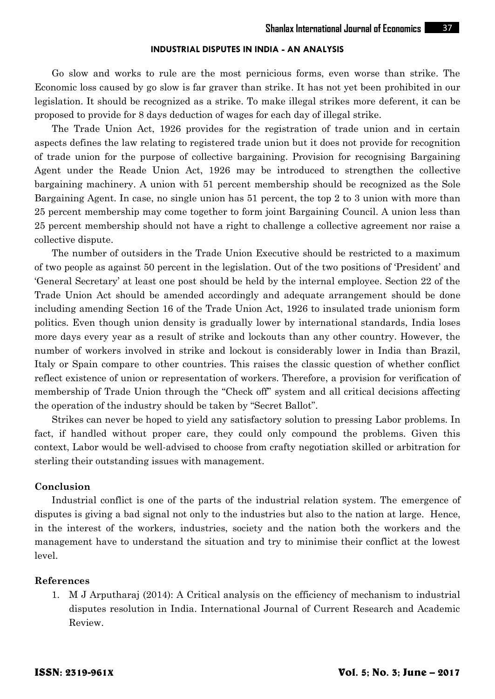#### **INDUSTRIAL DISPUTES IN INDIA - AN ANALYSIS**

Go slow and works to rule are the most pernicious forms, even worse than strike. The Economic loss caused by go slow is far graver than strike. It has not yet been prohibited in our legislation. It should be recognized as a strike. To make illegal strikes more deferent, it can be proposed to provide for 8 days deduction of wages for each day of illegal strike.

The Trade Union Act, 1926 provides for the registration of trade union and in certain aspects defines the law relating to registered trade union but it does not provide for recognition of trade union for the purpose of collective bargaining. Provision for recognising Bargaining Agent under the Reade Union Act, 1926 may be introduced to strengthen the collective bargaining machinery. A union with 51 percent membership should be recognized as the Sole Bargaining Agent. In case, no single union has 51 percent, the top 2 to 3 union with more than 25 percent membership may come together to form joint Bargaining Council. A union less than 25 percent membership should not have a right to challenge a collective agreement nor raise a collective dispute.

The number of outsiders in the Trade Union Executive should be restricted to a maximum of two people as against 50 percent in the legislation. Out of the two positions of 'President' and 'General Secretary' at least one post should be held by the internal employee. Section 22 of the Trade Union Act should be amended accordingly and adequate arrangement should be done including amending Section 16 of the Trade Union Act, 1926 to insulated trade unionism form politics. Even though union density is gradually lower by international standards, India loses more days every year as a result of strike and lockouts than any other country. However, the number of workers involved in strike and lockout is considerably lower in India than Brazil, Italy or Spain compare to other countries. This raises the classic question of whether conflict reflect existence of union or representation of workers. Therefore, a provision for verification of membership of Trade Union through the "Check off" system and all critical decisions affecting the operation of the industry should be taken by "Secret Ballot".

Strikes can never be hoped to yield any satisfactory solution to pressing Labor problems. In fact, if handled without proper care, they could only compound the problems. Given this context, Labor would be well-advised to choose from crafty negotiation skilled or arbitration for sterling their outstanding issues with management.

#### **Conclusion**

Industrial conflict is one of the parts of the industrial relation system. The emergence of disputes is giving a bad signal not only to the industries but also to the nation at large. Hence, in the interest of the workers, industries, society and the nation both the workers and the management have to understand the situation and try to minimise their conflict at the lowest level.

## **References**

1. M J Arputharaj (2014): A Critical analysis on the efficiency of mechanism to industrial disputes resolution in India. International Journal of Current Research and Academic Review.